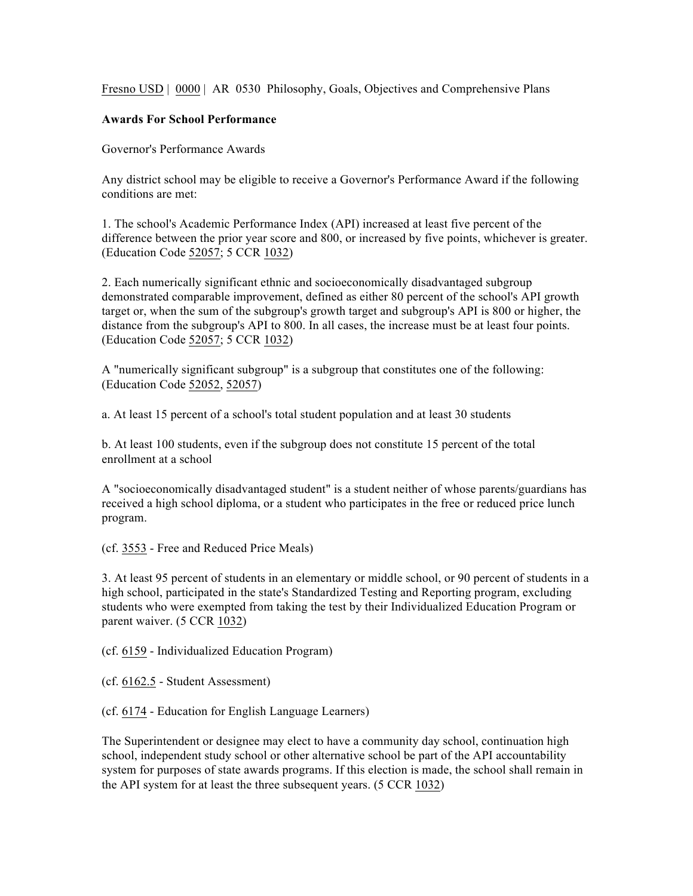Fresno USD | 0000 | AR 0530 Philosophy, Goals, Objectives and Comprehensive Plans

## **Awards For School Performance**

Governor's Performance Awards

Any district school may be eligible to receive a Governor's Performance Award if the following conditions are met:

1. The school's Academic Performance Index (API) increased at least five percent of the difference between the prior year score and 800, or increased by five points, whichever is greater. (Education Code 52057; 5 CCR 1032)

2. Each numerically significant ethnic and socioeconomically disadvantaged subgroup demonstrated comparable improvement, defined as either 80 percent of the school's API growth target or, when the sum of the subgroup's growth target and subgroup's API is 800 or higher, the distance from the subgroup's API to 800. In all cases, the increase must be at least four points. (Education Code 52057; 5 CCR 1032)

A "numerically significant subgroup" is a subgroup that constitutes one of the following: (Education Code 52052, 52057)

a. At least 15 percent of a school's total student population and at least 30 students

b. At least 100 students, even if the subgroup does not constitute 15 percent of the total enrollment at a school

A "socioeconomically disadvantaged student" is a student neither of whose parents/guardians has received a high school diploma, or a student who participates in the free or reduced price lunch program.

(cf. 3553 - Free and Reduced Price Meals)

3. At least 95 percent of students in an elementary or middle school, or 90 percent of students in a high school, participated in the state's Standardized Testing and Reporting program, excluding students who were exempted from taking the test by their Individualized Education Program or parent waiver. (5 CCR 1032)

(cf. 6159 - Individualized Education Program)

(cf. 6162.5 - Student Assessment)

(cf. 6174 - Education for English Language Learners)

The Superintendent or designee may elect to have a community day school, continuation high school, independent study school or other alternative school be part of the API accountability system for purposes of state awards programs. If this election is made, the school shall remain in the API system for at least the three subsequent years. (5 CCR 1032)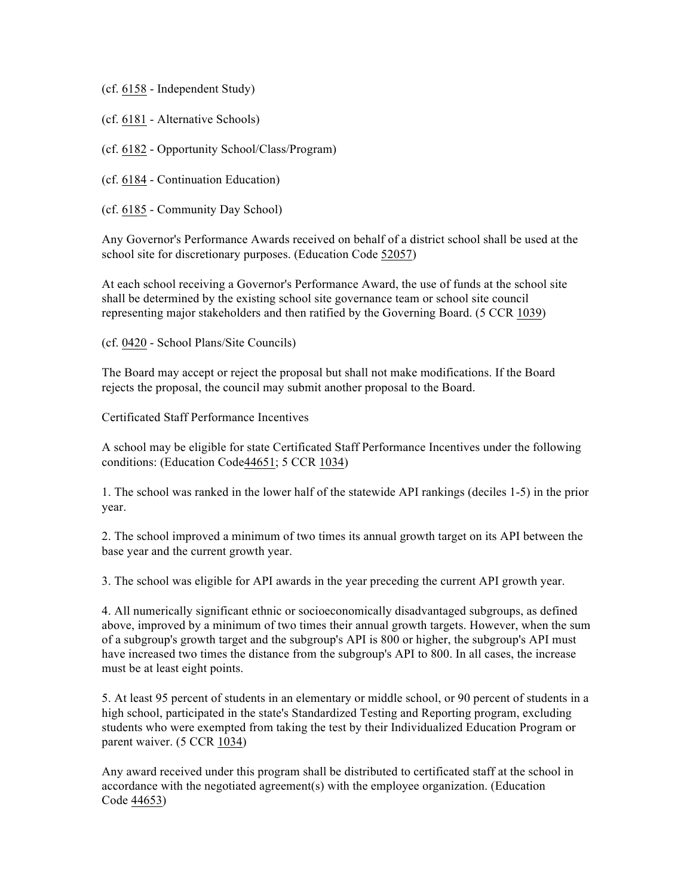(cf. 6158 - Independent Study)

(cf. 6181 - Alternative Schools)

(cf. 6182 - Opportunity School/Class/Program)

(cf. 6184 - Continuation Education)

(cf. 6185 - Community Day School)

Any Governor's Performance Awards received on behalf of a district school shall be used at the school site for discretionary purposes. (Education Code 52057)

At each school receiving a Governor's Performance Award, the use of funds at the school site shall be determined by the existing school site governance team or school site council representing major stakeholders and then ratified by the Governing Board. (5 CCR 1039)

(cf. 0420 - School Plans/Site Councils)

The Board may accept or reject the proposal but shall not make modifications. If the Board rejects the proposal, the council may submit another proposal to the Board.

Certificated Staff Performance Incentives

A school may be eligible for state Certificated Staff Performance Incentives under the following conditions: (Education Code44651; 5 CCR 1034)

1. The school was ranked in the lower half of the statewide API rankings (deciles 1-5) in the prior year.

2. The school improved a minimum of two times its annual growth target on its API between the base year and the current growth year.

3. The school was eligible for API awards in the year preceding the current API growth year.

4. All numerically significant ethnic or socioeconomically disadvantaged subgroups, as defined above, improved by a minimum of two times their annual growth targets. However, when the sum of a subgroup's growth target and the subgroup's API is 800 or higher, the subgroup's API must have increased two times the distance from the subgroup's API to 800. In all cases, the increase must be at least eight points.

5. At least 95 percent of students in an elementary or middle school, or 90 percent of students in a high school, participated in the state's Standardized Testing and Reporting program, excluding students who were exempted from taking the test by their Individualized Education Program or parent waiver. (5 CCR 1034)

Any award received under this program shall be distributed to certificated staff at the school in accordance with the negotiated agreement(s) with the employee organization. (Education Code 44653)